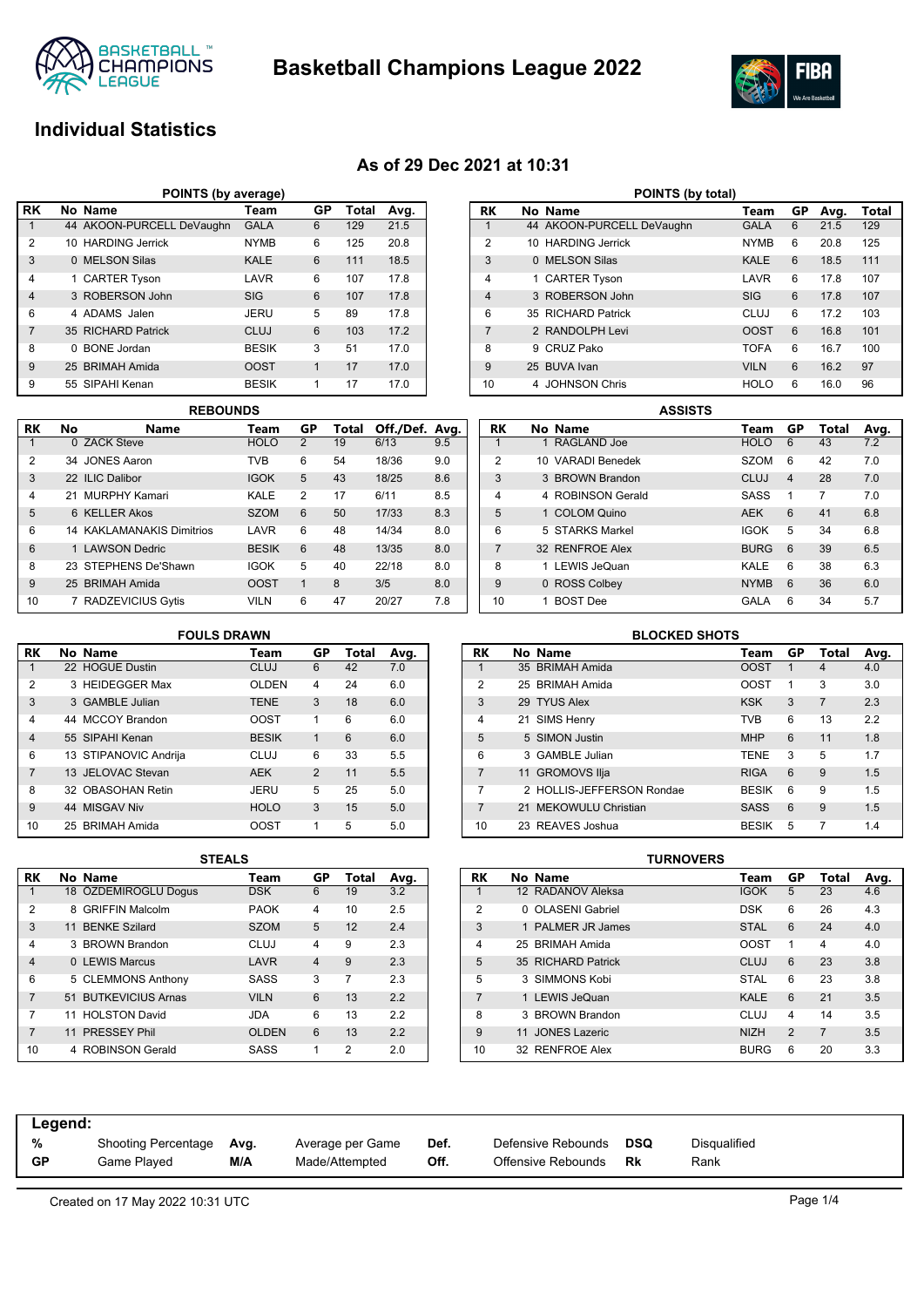

**Basketball Champions League 2022**



# **Individual Statistics**

## **As of 29 Dec 2021 at 10:31**

| POINTS (by average) |                                        |                           |              |   |     |      |  |  |  |  |  |  |
|---------------------|----------------------------------------|---------------------------|--------------|---|-----|------|--|--|--|--|--|--|
| l RK                | No Name<br>GP<br>Total<br>Team<br>Avg. |                           |              |   |     |      |  |  |  |  |  |  |
|                     |                                        | 44 AKOON-PURCELL DeVaughn | <b>GALA</b>  | 6 | 129 | 21.5 |  |  |  |  |  |  |
| $\overline{2}$      |                                        | 10 HARDING Jerrick        | <b>NYMB</b>  | 6 | 125 | 20.8 |  |  |  |  |  |  |
| 3                   |                                        | 0 MELSON Silas            | <b>KALE</b>  | 6 | 111 | 18.5 |  |  |  |  |  |  |
| $\overline{4}$      |                                        | 1 CARTER Tyson            | LAVR         | 6 | 107 | 17.8 |  |  |  |  |  |  |
| $\overline{4}$      |                                        | 3 ROBERSON John           | <b>SIG</b>   | 6 | 107 | 17.8 |  |  |  |  |  |  |
| 6                   |                                        | 4 ADAMS Jalen             | JERU         | 5 | 89  | 17.8 |  |  |  |  |  |  |
| $\overline{7}$      |                                        | 35 RICHARD Patrick        | CLUJ         | 6 | 103 | 17.2 |  |  |  |  |  |  |
| 8                   | 0                                      | <b>BONE</b> Jordan        | <b>BESIK</b> | 3 | 51  | 17.0 |  |  |  |  |  |  |
| 9                   |                                        | 25 BRIMAH Amida           | <b>OOST</b>  | 1 | 17  | 17.0 |  |  |  |  |  |  |
| 9                   |                                        | 55 SIPAHI Kenan           | <b>BESIK</b> | 1 | 17  | 17.0 |  |  |  |  |  |  |

|                | <b>REBOUNDS</b> |                                  |              |    |       |                |     |  |  |  |  |  |
|----------------|-----------------|----------------------------------|--------------|----|-------|----------------|-----|--|--|--|--|--|
| RK             | No              | <b>Name</b>                      | Team         | GP | Total | Off./Def. Avg. |     |  |  |  |  |  |
|                |                 | 0 ZACK Steve                     | <b>HOLO</b>  | 2  | 19    | 6/13           | 9.5 |  |  |  |  |  |
| $\overline{2}$ |                 | 34 JONES Aaron                   | <b>TVB</b>   | 6  | 54    | 18/36          | 9.0 |  |  |  |  |  |
| 3              |                 | 22 ILIC Dalibor                  | <b>IGOK</b>  | 5  | 43    | 18/25          | 8.6 |  |  |  |  |  |
| $\overline{4}$ |                 | 21 MURPHY Kamari                 | KALE         | 2  | 17    | 6/11           | 8.5 |  |  |  |  |  |
| 5              |                 | 6 KELLER Akos                    | <b>SZOM</b>  | 6  | 50    | 17/33          | 8.3 |  |  |  |  |  |
| 6              |                 | <b>14 KAKLAMANAKIS Dimitrios</b> | LAVR         | 6  | 48    | 14/34          | 8.0 |  |  |  |  |  |
| 6              |                 | 1 LAWSON Dedric                  | <b>BESIK</b> | 6  | 48    | 13/35          | 8.0 |  |  |  |  |  |
| 8              |                 | 23 STEPHENS De'Shawn             | <b>IGOK</b>  | 5  | 40    | 22/18          | 8.0 |  |  |  |  |  |
| 9              |                 | 25 BRIMAH Amida                  | <b>OOST</b>  | 1  | 8     | 3/5            | 8.0 |  |  |  |  |  |
| 10             |                 | <b>RADZEVICIUS Gytis</b>         | <b>VILN</b>  | 6  | 47    | 20/27          | 7.8 |  |  |  |  |  |

| POINTS (by total) |          |                           |             |    |      |       |  |  |  |  |
|-------------------|----------|---------------------------|-------------|----|------|-------|--|--|--|--|
| RK                |          | No Name                   | Team        | GP | Avg. | Total |  |  |  |  |
| 1                 |          | 44 AKOON-PURCELL DeVaughn | <b>GALA</b> | 6  | 21.5 | 129   |  |  |  |  |
| 2                 |          | 10 HARDING Jerrick        | <b>NYMB</b> | 6  | 20.8 | 125   |  |  |  |  |
| 3                 | $\Omega$ | <b>MELSON Silas</b>       | <b>KALE</b> | 6  | 18.5 | 111   |  |  |  |  |
| 4                 | 1        | <b>CARTER Tyson</b>       | LAVR        | 6  | 17.8 | 107   |  |  |  |  |
| $\overline{4}$    |          | 3 ROBERSON John           | <b>SIG</b>  | 6  | 17.8 | 107   |  |  |  |  |
| 6                 |          | 35 RICHARD Patrick        | CLUJ        | 6  | 172  | 103   |  |  |  |  |
| $\overline{7}$    |          | 2 RANDOLPH Levi           | <b>OOST</b> | 6  | 16.8 | 101   |  |  |  |  |
| 8                 | 9        | CRUZ Pako                 | <b>TOFA</b> | 6  | 16.7 | 100   |  |  |  |  |
| 9                 |          | 25 BUVA Ivan              | <b>VILN</b> | 6  | 16.2 | 97    |  |  |  |  |
| 10                | 4        | <b>JOHNSON Chris</b>      | <b>HOLO</b> | 6  | 16.0 | 96    |  |  |  |  |

|                | <b>ASSISTS</b> |                   |  |             |                |       |      |  |  |  |  |
|----------------|----------------|-------------------|--|-------------|----------------|-------|------|--|--|--|--|
| RK             |                | No Name           |  | Team        | GP             | Total | Avg. |  |  |  |  |
| 1              |                | 1 RAGLAND Joe     |  | <b>HOLO</b> | 6              | 43    | 7.2  |  |  |  |  |
| $\overline{2}$ |                | 10 VARADI Benedek |  | <b>SZOM</b> | 6              | 42    | 7.0  |  |  |  |  |
| 3              |                | 3 BROWN Brandon   |  | CLUJ        | $\overline{4}$ | 28    | 7.0  |  |  |  |  |
| 4              |                | 4 ROBINSON Gerald |  | <b>SASS</b> | 1              | 7     | 7.0  |  |  |  |  |
| 5              |                | 1 COLOM Quino     |  | <b>AEK</b>  | 6              | 41    | 6.8  |  |  |  |  |
| 6              |                | 5 STARKS Markel   |  | <b>IGOK</b> | 5              | 34    | 6.8  |  |  |  |  |
| $\overline{7}$ |                | 32 RENFROE Alex   |  | <b>BURG</b> | 6              | 39    | 6.5  |  |  |  |  |
| 8              |                | 1 LEWIS JeQuan    |  | KALE        | 6              | 38    | 6.3  |  |  |  |  |
| 9              |                | 0 ROSS Colbey     |  | <b>NYMB</b> | 6              | 36    | 6.0  |  |  |  |  |
| 10             |                | <b>BOST</b> Dee   |  | GALA        | 6              | 34    | 5.7  |  |  |  |  |

|                | <b>FOULS DRAWN</b> |                       |              |                |       |      |  |  |  |  |  |  |
|----------------|--------------------|-----------------------|--------------|----------------|-------|------|--|--|--|--|--|--|
| RK             |                    | No Name               | Team         | GP             | Total | Avg. |  |  |  |  |  |  |
| 1              |                    | 22 HOGUE Dustin       | <b>CLUJ</b>  | 6              | 42    | 7.0  |  |  |  |  |  |  |
| $\overline{2}$ |                    | 3 HEIDEGGER Max       | <b>OLDEN</b> | 4              | 24    | 6.0  |  |  |  |  |  |  |
| 3              |                    | 3 GAMBLE Julian       | <b>TENE</b>  | 3              | 18    | 6.0  |  |  |  |  |  |  |
| 4              |                    | 44 MCCOY Brandon      | <b>OOST</b>  | 1              | 6     | 6.0  |  |  |  |  |  |  |
| $\overline{4}$ |                    | 55 SIPAHI Kenan       | <b>BESIK</b> | 1              | 6     | 6.0  |  |  |  |  |  |  |
| 6              |                    | 13 STIPANOVIC Andrija | CLUJ         | 6              | 33    | 5.5  |  |  |  |  |  |  |
| 7              |                    | 13 JELOVAC Stevan     | <b>AEK</b>   | $\overline{2}$ | 11    | 5.5  |  |  |  |  |  |  |
| 8              |                    | 32 OBASOHAN Retin     | JERU         | 5              | 25    | 5.0  |  |  |  |  |  |  |
| 9              |                    | 44 MISGAV Niv         | <b>HOLO</b>  | 3              | 15    | 5.0  |  |  |  |  |  |  |
| 10             |                    | 25 BRIMAH Amida       | <b>OOST</b>  | 1              | 5     | 5.0  |  |  |  |  |  |  |

|                | <b>BLOCKED SHOTS</b> |                           |              |    |                |      |  |  |  |  |  |
|----------------|----------------------|---------------------------|--------------|----|----------------|------|--|--|--|--|--|
| RK             |                      | No Name                   | Team         | GP | Total          | Avg. |  |  |  |  |  |
| 1              |                      | 35 BRIMAH Amida           | <b>OOST</b>  | 1  | $\overline{4}$ | 4.0  |  |  |  |  |  |
| 2              |                      | 25 BRIMAH Amida           | <b>OOST</b>  | 1  | 3              | 3.0  |  |  |  |  |  |
| 3              |                      | 29 TYUS Alex              | <b>KSK</b>   | 3  | $\overline{7}$ | 2.3  |  |  |  |  |  |
| 4              |                      | 21 SIMS Henry             | <b>TVB</b>   | 6  | 13             | 2.2  |  |  |  |  |  |
| 5              |                      | 5 SIMON Justin            | <b>MHP</b>   | 6  | 11             | 1.8  |  |  |  |  |  |
| 6              |                      | 3 GAMBLE Julian           | <b>TENE</b>  | 3  | 5              | 1.7  |  |  |  |  |  |
| $\overline{7}$ |                      | 11 GROMOVS Ilja           | <b>RIGA</b>  | 6  | 9              | 1.5  |  |  |  |  |  |
| 7              |                      | 2 HOLLIS-JEFFERSON Rondae | <b>BESIK</b> | 6  | 9              | 1.5  |  |  |  |  |  |
| $\overline{7}$ |                      | 21 MEKOWULU Christian     | <b>SASS</b>  | 6  | 9              | 1.5  |  |  |  |  |  |
| 10             |                      | 23 REAVES Joshua          | <b>BESIK</b> | 5  | 7              | 1.4  |  |  |  |  |  |
|                |                      |                           |              |    |                |      |  |  |  |  |  |

|                | 3 I EALJ |                        |              |                |       |      |  |  |  |  |  |  |
|----------------|----------|------------------------|--------------|----------------|-------|------|--|--|--|--|--|--|
| RK             |          | No Name                | Team         | GP             | Total | Avg. |  |  |  |  |  |  |
| 1              |          | 18 ÖZDEMIROGLU Dogus   | <b>DSK</b>   | 6              | 19    | 3.2  |  |  |  |  |  |  |
| 2              | 8        | <b>GRIFFIN Malcolm</b> | <b>PAOK</b>  | 4              | 10    | 2.5  |  |  |  |  |  |  |
| 3              |          | 11 BENKE Szilard       | <b>SZOM</b>  | 5              | 12    | 2.4  |  |  |  |  |  |  |
| 4              |          | 3 BROWN Brandon        | CLUJ         | 4              | 9     | 2.3  |  |  |  |  |  |  |
| $\overline{4}$ |          | 0 LEWIS Marcus         | LAVR         | $\overline{4}$ | 9     | 2.3  |  |  |  |  |  |  |
| 6              |          | 5 CLEMMONS Anthony     | SASS         | 3              | 7     | 2.3  |  |  |  |  |  |  |
| 7              |          | 51 BUTKEVICIUS Arnas   | <b>VILN</b>  | 6              | 13    | 2.2  |  |  |  |  |  |  |
| 7              |          | 11 HOLSTON David       | JDA          | 6              | 13    | 2.2  |  |  |  |  |  |  |
| 7              | 11       | <b>PRESSEY Phil</b>    | <b>OLDEN</b> | 6              | 13    | 2.2  |  |  |  |  |  |  |
| 10             |          | 4 ROBINSON Gerald      | SASS         | 1              | 2     | 2.0  |  |  |  |  |  |  |

| STEALS |              |    |       |      |           |    |                      | TURNOVERS |             |                |       |      |
|--------|--------------|----|-------|------|-----------|----|----------------------|-----------|-------------|----------------|-------|------|
|        | Team         | GP | Total | Avg. | <b>RK</b> |    | No Name              |           | Team        | GP             | Total | Avg. |
|        | <b>DSK</b>   | 6  | 19    | 3.2  |           |    | 12 RADANOV Aleksa    |           | <b>IGOK</b> | 5              | 23    | 4.6  |
|        | <b>PAOK</b>  | 4  | 10    | 2.5  | 2         |    | 0 OLASENI Gabriel    |           | <b>DSK</b>  | 6              | 26    | 4.3  |
|        | <b>SZOM</b>  | 5  | 12    | 2.4  | 3         |    | PALMER JR James      |           | <b>STAL</b> | 6              | 24    | 4.0  |
|        | <b>CLUJ</b>  | 4  | 9     | 2.3  | 4         |    | 25 BRIMAH Amida      |           | <b>OOST</b> |                | 4     | 4.0  |
|        | LAVR         | 4  | 9     | 2.3  | 5         |    | 35 RICHARD Patrick   |           | CLUJ        | 6              | 23    | 3.8  |
|        | <b>SASS</b>  | 3  | 7     | 2.3  | 5         |    | 3 SIMMONS Kobi       |           | <b>STAL</b> | 6              | 23    | 3.8  |
|        | <b>VILN</b>  | 6  | 13    | 2.2  |           |    | 1 LEWIS JeQuan       |           | <b>KALE</b> | 6              | 21    | 3.5  |
|        | <b>JDA</b>   | 6  | 13    | 2.2  | 8         |    | 3 BROWN Brandon      |           | CLUJ        | 4              | 14    | 3.5  |
|        | <b>OLDEN</b> | 6  | 13    | 2.2  | 9         | 11 | <b>JONES Lazeric</b> |           | <b>NIZH</b> | $\mathfrak{p}$ |       | 3.5  |
|        | <b>SASS</b>  | 1  | 2     | 2.0  | 10        |    | 32 RENFROE Alex      |           | <b>BURG</b> | 6              | 20    | 3.3  |

| Legend:   |                     |      |                  |      |                    |     |              |
|-----------|---------------------|------|------------------|------|--------------------|-----|--------------|
| %         | Shooting Percentage | Avg. | Average per Game | Def. | Defensive Rebounds | DSQ | Disqualified |
| <b>GP</b> | Game Played         | M/A  | Made/Attempted   | Off. | Offensive Rebounds | Rk  | Rank         |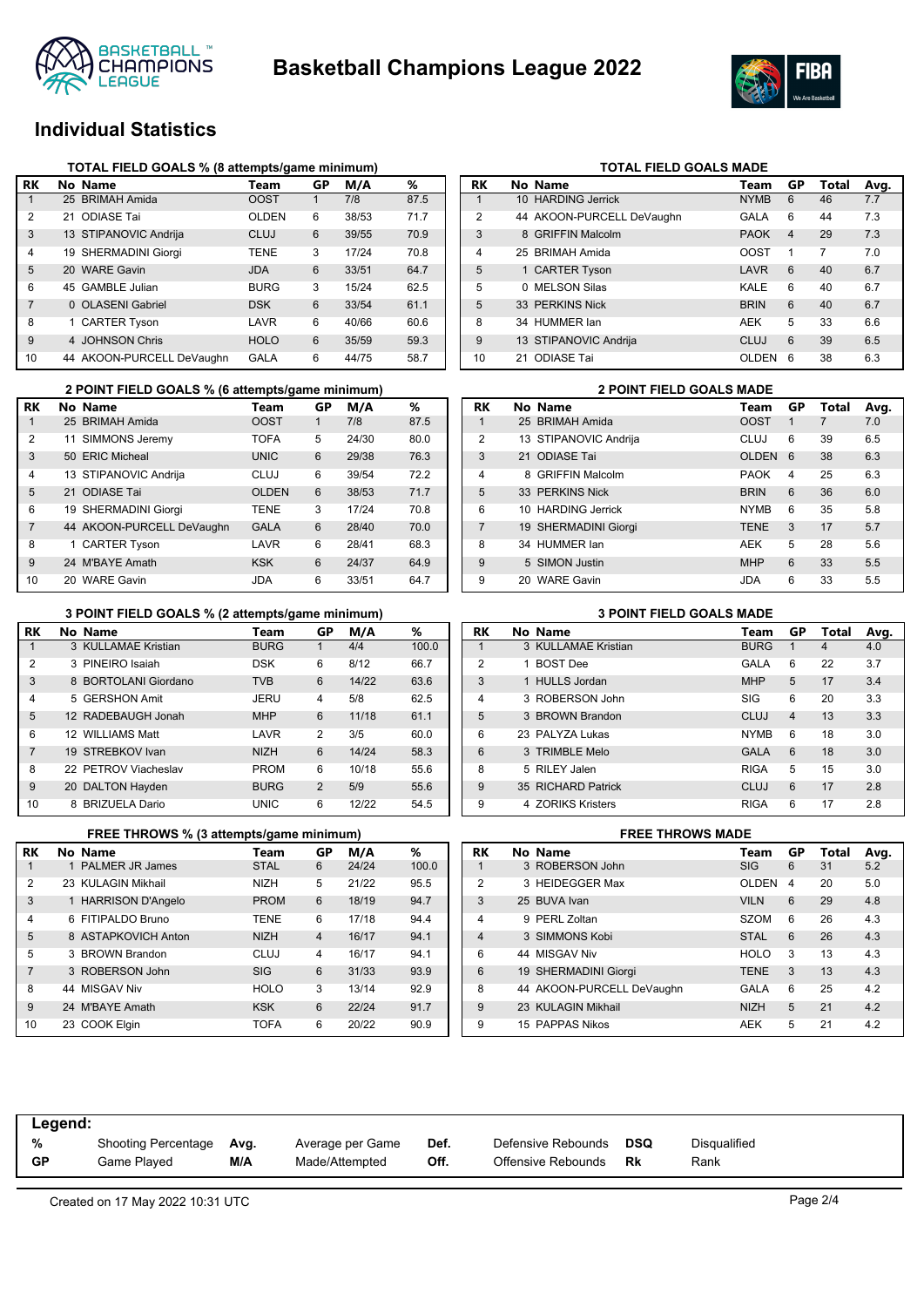



# **Individual Statistics**

|                | TOTAL FIELD GOALS % (8 attempts/game minimum) |                           |              |    |       |      |  |  |  |  |  |
|----------------|-----------------------------------------------|---------------------------|--------------|----|-------|------|--|--|--|--|--|
| RK             |                                               | No Name                   | Team         | GP | M/A   | %    |  |  |  |  |  |
| 1              |                                               | 25 BRIMAH Amida           | <b>OOST</b>  |    | 7/8   | 87.5 |  |  |  |  |  |
| $\overline{2}$ |                                               | 21 ODIASE Tai             | <b>OLDEN</b> | 6  | 38/53 | 71.7 |  |  |  |  |  |
| 3              |                                               | 13 STIPANOVIC Andrija     | CLUJ         | 6  | 39/55 | 70.9 |  |  |  |  |  |
| 4              |                                               | 19 SHERMADINI Giorgi      | <b>TENE</b>  | 3  | 17/24 | 70.8 |  |  |  |  |  |
| 5              |                                               | 20 WARE Gavin             | <b>JDA</b>   | 6  | 33/51 | 64.7 |  |  |  |  |  |
| 6              |                                               | 45 GAMBLE Julian          | <b>BURG</b>  | 3  | 15/24 | 62.5 |  |  |  |  |  |
| 7              |                                               | 0 OLASENI Gabriel         | <b>DSK</b>   | 6  | 33/54 | 61.1 |  |  |  |  |  |
| 8              |                                               | 1 CARTER Tyson            | LAVR         | 6  | 40/66 | 60.6 |  |  |  |  |  |
| 9              |                                               | 4 JOHNSON Chris           | <b>HOLO</b>  | 6  | 35/59 | 59.3 |  |  |  |  |  |
| 10             |                                               | 44 AKOON-PURCELL DeVaughn | <b>GALA</b>  | 6  | 44/75 | 58.7 |  |  |  |  |  |

|                | 2 POINT FIELD GOALS % (6 attempts/game minimum) |              |    | <b>2 POINT FIELD GOALS MADE</b> |      |                |                       |             |
|----------------|-------------------------------------------------|--------------|----|---------------------------------|------|----------------|-----------------------|-------------|
| RK             | No Name                                         | Team         | GP | M/A                             | %    | <b>RK</b>      | No Name               | Team        |
|                | 25 BRIMAH Amida                                 | <b>OOST</b>  |    | 7/8                             | 87.5 |                | 25 BRIMAH Amida       | <b>OOST</b> |
| 2              | 11 SIMMONS Jeremy                               | <b>TOFA</b>  | 5  | 24/30                           | 80.0 | $\overline{2}$ | 13 STIPANOVIC Andrija | <b>CLUJ</b> |
| 3              | 50 ERIC Micheal                                 | <b>UNIC</b>  | 6  | 29/38                           | 76.3 | 3              | 21 ODIASE Tai         | <b>OLDE</b> |
| 4              | 13 STIPANOVIC Andrija                           | <b>CLUJ</b>  | 6  | 39/54                           | 72.2 | 4              | 8 GRIFFIN Malcolm     | <b>PAOK</b> |
| 5              | 21 ODIASE Tai                                   | <b>OLDEN</b> | 6  | 38/53                           | 71.7 | 5              | 33 PERKINS Nick       | <b>BRIN</b> |
| 6              | 19 SHERMADINI Giorgi                            | <b>TENE</b>  | 3  | 17/24                           | 70.8 | 6              | 10 HARDING Jerrick    | <b>NYMB</b> |
| $\overline{7}$ | 44 AKOON-PURCELL DeVaughn                       | <b>GALA</b>  | 6  | 28/40                           | 70.0 |                | 19 SHERMADINI Giorgi  | <b>TENE</b> |
| 8              | 1 CARTER Tyson                                  | LAVR         | 6  | 28/41                           | 68.3 | 8              | 34 HUMMER lan         | <b>AEK</b>  |
| 9              | 24 M'BAYE Amath                                 | <b>KSK</b>   | 6  | 24/37                           | 64.9 | 9              | 5 SIMON Justin        | <b>MHP</b>  |
| 10             | 20 WARE Gavin                                   | <b>JDA</b>   | 6  | 33/51                           | 64.7 | 9              | 20 WARE Gavin         | <b>JDA</b>  |

|                | 3 POINT FIELD GOALS % (2 attempts/game minimum) |                      |             |                |       |       |  |  |  |  |  |
|----------------|-------------------------------------------------|----------------------|-------------|----------------|-------|-------|--|--|--|--|--|
| RK             |                                                 | No Name              | Team        | GP             | M/A   | ℅     |  |  |  |  |  |
| 1              |                                                 | 3 KULLAMAE Kristian  | <b>BURG</b> |                | 4/4   | 100.0 |  |  |  |  |  |
| $\overline{2}$ |                                                 | 3 PINEIRO Isaiah     | <b>DSK</b>  | 6              | 8/12  | 66.7  |  |  |  |  |  |
| 3              |                                                 | 8 BORTOLANI Giordano | <b>TVB</b>  | 6              | 14/22 | 63.6  |  |  |  |  |  |
| 4              |                                                 | 5 GERSHON Amit       | JERU        | 4              | 5/8   | 62.5  |  |  |  |  |  |
| 5              |                                                 | 12 RADEBAUGH Jonah   | <b>MHP</b>  | 6              | 11/18 | 61.1  |  |  |  |  |  |
| 6              |                                                 | 12 WILLIAMS Matt     | LAVR        | 2              | 3/5   | 60.0  |  |  |  |  |  |
| 7              |                                                 | 19 STREBKOV Ivan     | <b>NIZH</b> | 6              | 14/24 | 58.3  |  |  |  |  |  |
| 8              |                                                 | 22 PETROV Viacheslav | <b>PROM</b> | 6              | 10/18 | 55.6  |  |  |  |  |  |
| 9              |                                                 | 20 DALTON Hayden     | <b>BURG</b> | $\overline{2}$ | 5/9   | 55.6  |  |  |  |  |  |
| 10             |                                                 | 8 BRIZUELA Dario     | <b>UNIC</b> | 6              | 12/22 | 54.5  |  |  |  |  |  |

|                | FREE THROWS % (3 attempts/game minimum) |             |                | <b>FREE THROWS MADE</b> |       |                |  |                           |                |
|----------------|-----------------------------------------|-------------|----------------|-------------------------|-------|----------------|--|---------------------------|----------------|
| RK             | No Name                                 | Team        | GP             | M/A                     | %     | <b>RK</b>      |  | No Name                   | Т٥             |
|                | 1 PALMER JR James                       | <b>STAL</b> | 6              | 24/24                   | 100.0 |                |  | 3 ROBERSON John           | SI             |
| 2              | 23 KULAGIN Mikhail                      | <b>NIZH</b> | 5              | 21/22                   | 95.5  | $\overline{2}$ |  | 3 HEIDEGGER Max           | O              |
| 3              | 1 HARRISON D'Angelo                     | <b>PROM</b> | 6              | 18/19                   | 94.7  | 3              |  | 25 BUVA Ivan              | V <sub>l</sub> |
| 4              | 6 FITIPALDO Bruno                       | <b>TENE</b> | 6              | 17/18                   | 94.4  | 4              |  | 9 PERL Zoltan             | S.             |
| 5              | 8 ASTAPKOVICH Anton                     | <b>NIZH</b> | $\overline{4}$ | 16/17                   | 94.1  | 4              |  | 3 SIMMONS Kobi            | S <sup>-</sup> |
| 5              | 3 BROWN Brandon                         | CLUJ        | 4              | 16/17                   | 94.1  | 6              |  | 44 MISGAV Niv             | H١             |
| $\overline{7}$ | 3 ROBERSON John                         | <b>SIG</b>  | 6              | 31/33                   | 93.9  | 6              |  | 19 SHERMADINI Giorgi      | ΤI             |
| 8              | 44 MISGAV Niv                           | <b>HOLO</b> | 3              | 13/14                   | 92.9  | 8              |  | 44 AKOON-PURCELL DeVaughn | G.             |
| 9              | 24 M'BAYE Amath                         | <b>KSK</b>  | 6              | 22/24                   | 91.7  | 9              |  | 23 KULAGIN Mikhail        | N              |
| 10             | 23 COOK Elgin                           | <b>TOFA</b> | 6              | 20/22                   | 90.9  | 9              |  | 15 PAPPAS Nikos           | Al             |

| <b>RK</b>      | No Name                   | Team        | GP             | Total | Avg. |
|----------------|---------------------------|-------------|----------------|-------|------|
| 1              | 10 HARDING Jerrick        | <b>NYMB</b> | 6              | 46    | 7.7  |
| 2              | 44 AKOON-PURCELL DeVaughn | GALA        | 6              | 44    | 7.3  |
| 3              | 8 GRIFFIN Malcolm         | <b>PAOK</b> | $\overline{4}$ | 29    | 7.3  |
| $\overline{4}$ | 25 BRIMAH Amida           | <b>OOST</b> | 1              | 7     | 7.0  |
| 5              | 1 CARTER Tyson            | LAVR        | 6              | 40    | 6.7  |
| 5              | 0 MELSON Silas            | KALE        | 6              | 40    | 6.7  |
| 5              | 33 PERKINS Nick           | <b>BRIN</b> | 6              | 40    | 6.7  |
| 8              | 34 HUMMER lan             | <b>AEK</b>  | 5              | 33    | 6.6  |
| 9              | 13 STIPANOVIC Andrija     | CLUJ        | 6              | 39    | 6.5  |
| 10             | 21 ODIASE Tai             | OI DEN      | 6              | 38    | 6.3  |

**TOTAL FIELD GOALS MADE** 

|                | <b>2 POINT FIELD GOALS MADE</b> |                        |              |    |       |      |  |  |  |  |
|----------------|---------------------------------|------------------------|--------------|----|-------|------|--|--|--|--|
| RK             |                                 | No Name                | Team         | GP | Total | Avg. |  |  |  |  |
| 1              |                                 | 25 BRIMAH Amida        | <b>OOST</b>  | 1  |       | 7.0  |  |  |  |  |
| $\overline{2}$ |                                 | 13 STIPANOVIC Andrija  | CLUJ         | 6  | 39    | 6.5  |  |  |  |  |
| 3              |                                 | 21 ODIASE Tai          | <b>OLDEN</b> | 6  | 38    | 6.3  |  |  |  |  |
| $\overline{4}$ | 8                               | <b>GRIFFIN Malcolm</b> | <b>PAOK</b>  | 4  | 25    | 6.3  |  |  |  |  |
| 5              |                                 | 33 PERKINS Nick        | <b>BRIN</b>  | 6  | 36    | 6.0  |  |  |  |  |
| 6              |                                 | 10 HARDING Jerrick     | <b>NYMB</b>  | 6  | 35    | 5.8  |  |  |  |  |
| $\overline{7}$ |                                 | 19 SHERMADINI Giorgi   | <b>TENE</b>  | 3  | 17    | 5.7  |  |  |  |  |
| 8              |                                 | 34 HUMMER lan          | <b>AEK</b>   | 5  | 28    | 5.6  |  |  |  |  |
| 9              |                                 | 5 SIMON Justin         | <b>MHP</b>   | 6  | 33    | 5.5  |  |  |  |  |
| 9              |                                 | 20 WARF Gavin          | <b>JDA</b>   | 6  | 33    | 5.5  |  |  |  |  |

#### **3 POINT FIELD GOALS % (2 attempts/game minimum) 3 POINT FIELD GOALS MADE**

| RK             |   | No Name                | Team        | GР                      | Total | Avg. |
|----------------|---|------------------------|-------------|-------------------------|-------|------|
|                |   | 3 KULLAMAE Kristian    | <b>BURG</b> | 1                       | 4     | 4.0  |
| $\overline{2}$ |   | <b>BOST Dee</b>        | GALA        | 6                       | 22    | 3.7  |
| 3              |   | 1 HULLS Jordan         | <b>MHP</b>  | 5                       | 17    | 3.4  |
| $\overline{4}$ |   | 3 ROBERSON John        | SIG         | 6                       | 20    | 3.3  |
| 5              |   | 3 BROWN Brandon        | CLUJ        | $\overline{\mathbf{4}}$ | 13    | 3.3  |
| 6              |   | 23 PAI YZA Lukas       | <b>NYMB</b> | 6                       | 18    | 3.0  |
| 6              |   | 3 TRIMBLE Melo         | <b>GALA</b> | 6                       | 18    | 3.0  |
| 8              |   | 5 RILEY Jalen          | <b>RIGA</b> | 5                       | 15    | 3.0  |
| 9              |   | 35 RICHARD Patrick     | CLUJ        | 6                       | 17    | 2.8  |
| 9              | 4 | <b>70RIKS Kristers</b> | <b>RIGA</b> | 6                       | 17    | 2.8  |

|                | <b>FREE THROWS MADE</b> |                           |              |    |       |      |  |  |  |  |
|----------------|-------------------------|---------------------------|--------------|----|-------|------|--|--|--|--|
| RK             |                         | No Name                   | Team         | GP | Total | Avg. |  |  |  |  |
| 1              |                         | 3 ROBERSON John           | <b>SIG</b>   | 6  | 31    | 5.2  |  |  |  |  |
| $\overline{2}$ |                         | 3 HEIDEGGER Max           | <b>OLDEN</b> | 4  | 20    | 5.0  |  |  |  |  |
| 3              |                         | 25 BUVA Ivan              | <b>VILN</b>  | 6  | 29    | 4.8  |  |  |  |  |
| $\overline{4}$ |                         | 9 PERL Zoltan             | <b>SZOM</b>  | 6  | 26    | 4.3  |  |  |  |  |
| $\overline{4}$ |                         | 3 SIMMONS Kobi            | <b>STAL</b>  | 6  | 26    | 4.3  |  |  |  |  |
| 6              |                         | 44 MISGAV Niv             | <b>HOLO</b>  | 3  | 13    | 4.3  |  |  |  |  |
| 6              |                         | 19 SHERMADINI Giorgi      | <b>TENE</b>  | 3  | 13    | 4.3  |  |  |  |  |
| 8              |                         | 44 AKOON-PURCELL DeVaughn | GALA         | 6  | 25    | 4.2  |  |  |  |  |
| 9              |                         | 23 KULAGIN Mikhail        | <b>NIZH</b>  | 5  | 21    | 4.2  |  |  |  |  |
| 9              |                         | 15 PAPPAS Nikos           | <b>AEK</b>   | 5  | 21    | 4.2  |  |  |  |  |
|                |                         |                           |              |    |       |      |  |  |  |  |

| Legend:   |                     |      |                  |      |                    |     |                     |
|-----------|---------------------|------|------------------|------|--------------------|-----|---------------------|
| %         | Shooting Percentage | Avg. | Average per Game | Def. | Defensive Rebounds | DSQ | <b>Disqualified</b> |
| <b>GP</b> | Game Plaved         | M/A  | Made/Attempted   | Off. | Offensive Rebounds | Rk  | Rank                |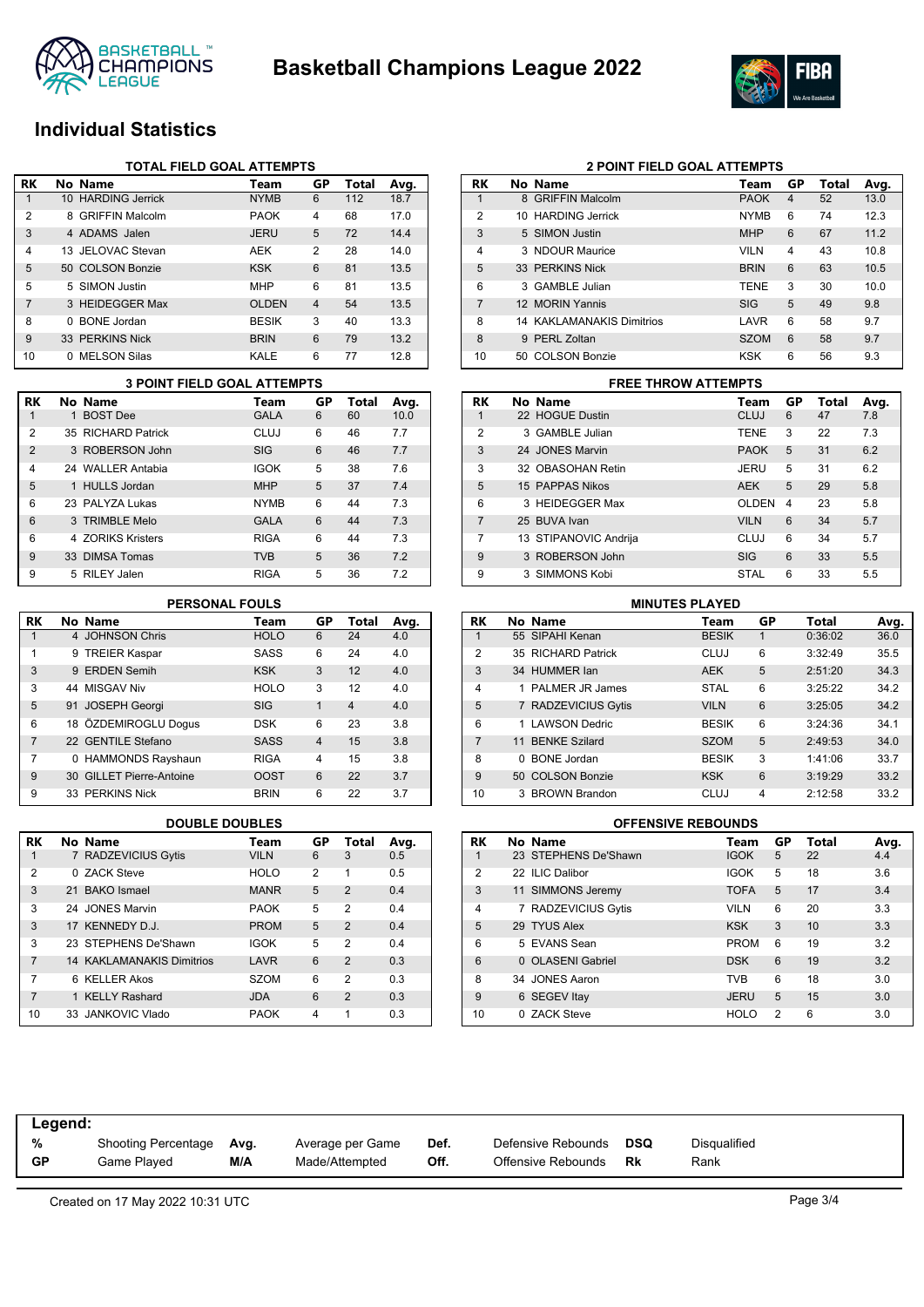



# **Individual Statistics**

|                | <b>TOTAL FIELD GOAL ATTEMPTS</b> |                     |              |                |       |      |  |  |  |  |
|----------------|----------------------------------|---------------------|--------------|----------------|-------|------|--|--|--|--|
| <b>RK</b>      |                                  | No Name             | Team         | GP             | Total | Avg. |  |  |  |  |
|                |                                  | 10 HARDING Jerrick  | <b>NYMB</b>  | 6              | 112   | 18.7 |  |  |  |  |
| 2              |                                  | 8 GRIFFIN Malcolm   | <b>PAOK</b>  | 4              | 68    | 17.0 |  |  |  |  |
| 3              |                                  | 4 ADAMS Jalen       | <b>JERU</b>  | 5              | 72    | 14.4 |  |  |  |  |
| $\overline{4}$ |                                  | 13 JFLOVAC Stevan   | AEK          | 2              | 28    | 14.0 |  |  |  |  |
| 5              |                                  | 50 COLSON Bonzie    | <b>KSK</b>   | 6              | 81    | 13.5 |  |  |  |  |
| 5              |                                  | 5 SIMON Justin      | <b>MHP</b>   | 6              | 81    | 13.5 |  |  |  |  |
| 7              |                                  | 3 HEIDEGGER Max     | <b>OLDEN</b> | $\overline{4}$ | 54    | 13.5 |  |  |  |  |
| 8              | <sup>n</sup>                     | <b>BONE</b> Jordan  | <b>BESIK</b> | 3              | 40    | 13.3 |  |  |  |  |
| 9              |                                  | 33 PERKINS Nick     | <b>BRIN</b>  | 6              | 79    | 13.2 |  |  |  |  |
| 10             | 0                                | <b>MELSON Silas</b> | KALE         | 6              | 77    | 12.8 |  |  |  |  |

|                | <b>3 POINT FIELD GOAL ATTEMPTS</b> |                    |             |    |       |      |  |  |  |  |
|----------------|------------------------------------|--------------------|-------------|----|-------|------|--|--|--|--|
| RK             |                                    | No Name            | Team        | GP | Total | Avg. |  |  |  |  |
|                |                                    | 1 BOST Dee         | <b>GALA</b> | 6  | 60    | 10.0 |  |  |  |  |
| 2              |                                    | 35 RICHARD Patrick | CLUJ        | 6  | 46    | 7.7  |  |  |  |  |
| $\overline{2}$ |                                    | 3 ROBERSON John    | <b>SIG</b>  | 6  | 46    | 7.7  |  |  |  |  |
| 4              |                                    | 24 WALLER Antabia  | <b>IGOK</b> | 5  | 38    | 7.6  |  |  |  |  |
| 5              |                                    | 1 HULLS Jordan     | <b>MHP</b>  | 5  | 37    | 7.4  |  |  |  |  |
| 6              |                                    | 23 PALYZA Lukas    | <b>NYMB</b> | 6  | 44    | 7.3  |  |  |  |  |
| 6              |                                    | 3 TRIMBLE Melo     | <b>GALA</b> | 6  | 44    | 7.3  |  |  |  |  |
| 6              |                                    | 4 70RIKS Kristers  | <b>RIGA</b> | 6  | 44    | 7.3  |  |  |  |  |
| 9              |                                    | 33 DIMSA Tomas     | <b>TVB</b>  | 5  | 36    | 7.2  |  |  |  |  |
| 9              |                                    | 5 RILEY Jalen      | <b>RIGA</b> | 5  | 36    | 7.2  |  |  |  |  |

### **PERSONAL FOULS**

| RK | No Name                  | Team        | GP             | Total          | Avg. |
|----|--------------------------|-------------|----------------|----------------|------|
| 1  | 4 JOHNSON Chris          | <b>HOLO</b> | 6              | 24             | 4.0  |
| 1  | 9 TREIER Kaspar          | SASS        | 6              | 24             | 4.0  |
| 3  | 9 ERDEN Semih            | <b>KSK</b>  | 3              | 12             | 4.0  |
| 3  | 44 MISGAV Niv            | <b>HOLO</b> | 3              | 12             | 4.0  |
| 5  | 91 JOSEPH Georgi         | <b>SIG</b>  | $\mathbf{1}$   | $\overline{4}$ | 4.0  |
| 6  | 18 ÖZDEMIROGLU Doqus     | <b>DSK</b>  | 6              | 23             | 3.8  |
| 7  | 22 GENTILE Stefano       | <b>SASS</b> | $\overline{4}$ | 15             | 3.8  |
| 7  | 0 HAMMONDS Rayshaun      | <b>RIGA</b> | 4              | 15             | 3.8  |
| 9  | 30 GILLET Pierre-Antoine | <b>OOST</b> | 6              | 22             | 3.7  |
| 9  | 33 PERKINS Nick          | <b>BRIN</b> | 6              | 22             | 3.7  |

| RK             | No Name                          | Team        | GP | Total          | Avg. |
|----------------|----------------------------------|-------------|----|----------------|------|
| 1              | 7 RADZEVICIUS Gytis              | <b>VILN</b> | 6  | 3              | 0.5  |
| 2              | 0 ZACK Steve                     | <b>HOLO</b> | 2  | 1              | 0.5  |
| 3              | 21 BAKO Ismael                   | <b>MANR</b> | 5  | $\mathcal{P}$  | 0.4  |
| 3              | 24 JONES Marvin                  | <b>PAOK</b> | 5  | 2              | 0.4  |
| 3              | 17 KENNEDY D.J.                  | <b>PROM</b> | 5  | $\mathcal{P}$  | 0.4  |
| 3              | 23 STEPHENS De'Shawn             | <b>IGOK</b> | 5  | 2              | 0.4  |
| 7              | <b>14 KAKLAMANAKIS Dimitrios</b> | LAVR        | 6  | $\mathcal{P}$  | 0.3  |
| 7              | 6 KELLER Akos                    | <b>SZOM</b> | 6  | 2              | 0.3  |
| $\overline{7}$ | 1 KELLY Rashard                  | <b>JDA</b>  | 6  | $\mathfrak{p}$ | 0.3  |
| 10             | 33 JANKOVIC Vlado                | <b>PAOK</b> | 4  | 1              | 0.3  |

| RK             |    | No Name                          | Team        | GP | Total | Avg. |
|----------------|----|----------------------------------|-------------|----|-------|------|
| 1              |    | 8 GRIFFIN Malcolm                | <b>PAOK</b> | 4  | 52    | 13.0 |
| $\mathcal{P}$  |    | 10 HARDING Jerrick               | <b>NYMB</b> | 6  | 74    | 12.3 |
| 3              |    | 5 SIMON Justin                   | <b>MHP</b>  | 6  | 67    | 11.2 |
| $\overline{4}$ |    | 3 NDOUR Maurice                  | <b>VILN</b> | 4  | 43    | 10.8 |
| 5              |    | 33 PERKINS Nick                  | <b>BRIN</b> | 6  | 63    | 10.5 |
| 6              |    | 3 GAMBLE Julian                  | <b>TENE</b> | 3  | 30    | 10.0 |
| 7              |    | 12 MORIN Yannis                  | <b>SIG</b>  | 5  | 49    | 9.8  |
| 8              |    | <b>14 KAKLAMANAKIS Dimitrios</b> | LAVR        | 6  | 58    | 9.7  |
| 8              | 9  | PERL Zoltan                      | <b>SZOM</b> | 6  | 58    | 9.7  |
| 10             | 50 | <b>COLSON Bonzie</b>             | <b>KSK</b>  | 6  | 56    | 9.3  |

**2 POINT FIELD GOAL ATTEMPTS**

#### **3 POINT FIELD GOAL ATTEMPTS FREE THROW ATTEMPTS**

| RK             | No Name               | Team        | GP | Total | Avg. |
|----------------|-----------------------|-------------|----|-------|------|
| 1              | 22 HOGUE Dustin       | <b>CLUJ</b> | 6  | 47    | 7.8  |
| $\overline{2}$ | 3 GAMBLE Julian       | <b>TENE</b> | 3  | 22    | 7.3  |
| 3              | 24 JONES Marvin       | <b>PAOK</b> | 5  | 31    | 6.2  |
| 3              | 32 OBASOHAN Retin     | JERU        | 5  | 31    | 6.2  |
| 5              | 15 PAPPAS Nikos       | <b>AEK</b>  | 5  | 29    | 5.8  |
| 6              | 3 HEIDEGGER Max       | OLDEN       | 4  | 23    | 5.8  |
| 7              | 25 BUVA Ivan          | <b>VILN</b> | 6  | 34    | 5.7  |
| 7              | 13 STIPANOVIC Andrija | CLUJ        | 6  | 34    | 5.7  |
| 9              | 3 ROBERSON John       | <b>SIG</b>  | 6  | 33    | 5.5  |
| 9              | 3 SIMMONS Kobi        | STAL        | 6  | 33    | 5.5  |

|                | <b>MINUTES PLAYED</b> |                      |              |    |         |      |  |  |
|----------------|-----------------------|----------------------|--------------|----|---------|------|--|--|
| RK             |                       | No Name              | Team         | GP | Total   | Avg. |  |  |
| 1              |                       | 55 SIPAHI Kenan      | <b>BESIK</b> | 1  | 0:36:02 | 36.0 |  |  |
| $\overline{2}$ |                       | 35 RICHARD Patrick   | <b>CLUJ</b>  | 6  | 3:32:49 | 35.5 |  |  |
| 3              |                       | 34 HUMMER lan        | <b>AEK</b>   | 5  | 2:51:20 | 34.3 |  |  |
| $\overline{4}$ |                       | 1 PALMER JR James    | <b>STAL</b>  | 6  | 3:25:22 | 34.2 |  |  |
| 5              |                       | 7 RADZEVICIUS Gytis  | <b>VILN</b>  | 6  | 3:25:05 | 34.2 |  |  |
| 6              | 1.                    | <b>LAWSON Dedric</b> | <b>BESIK</b> | 6  | 3:24:36 | 34.1 |  |  |
| $\overline{7}$ |                       | 11 BENKE Szilard     | <b>SZOM</b>  | 5  | 2:49:53 | 34.0 |  |  |
| 8              | 0                     | <b>BONE</b> Jordan   | <b>BESIK</b> | 3  | 1:41:06 | 33.7 |  |  |
| 9              |                       | 50 COLSON Bonzie     | <b>KSK</b>   | 6  | 3:19:29 | 33.2 |  |  |
| 10             |                       | 3 BROWN Brandon      | CLUJ         | 4  | 2:12:58 | 33.2 |  |  |

### **DOUBLE DOUBLES OFFENSIVE REBOUNDS**

| RK             | No Name              | Team        | GP | <b>Total</b> | Avg. |
|----------------|----------------------|-------------|----|--------------|------|
|                | 23 STEPHENS De'Shawn | <b>IGOK</b> | 5  | 22           | 4.4  |
| $\overline{2}$ | 22 ILIC Dalibor      | <b>IGOK</b> | 5  | 18           | 3.6  |
| 3              | 11 SIMMONS Jeremy    | <b>TOFA</b> | 5  | 17           | 3.4  |
| 4              | 7 RADZEVICIUS Gytis  | <b>VILN</b> | 6  | 20           | 3.3  |
| 5              | 29 TYUS Alex         | <b>KSK</b>  | 3  | 10           | 3.3  |
| 6              | 5 EVANS Sean         | <b>PROM</b> | 6  | 19           | 3.2  |
| 6              | 0 OLASENI Gabriel    | <b>DSK</b>  | 6  | 19           | 3.2  |
| 8              | 34 JONES Aaron       | <b>TVB</b>  | 6  | 18           | 3.0  |
| 9              | 6 SEGEV Itay         | <b>JERU</b> | 5  | 15           | 3.0  |
| 10             | 0 ZACK Steve         | <b>HOLO</b> | 2  | 6            | 3.0  |

| Legend:   |                     |      |                  |      |                    |     |              |
|-----------|---------------------|------|------------------|------|--------------------|-----|--------------|
| %         | Shooting Percentage | Avg. | Average per Game | Def. | Defensive Rebounds | DSQ | Disqualified |
| <b>GP</b> | Game Played         | M/A  | Made/Attempted   | Off. | Offensive Rebounds | Rk  | Rank         |